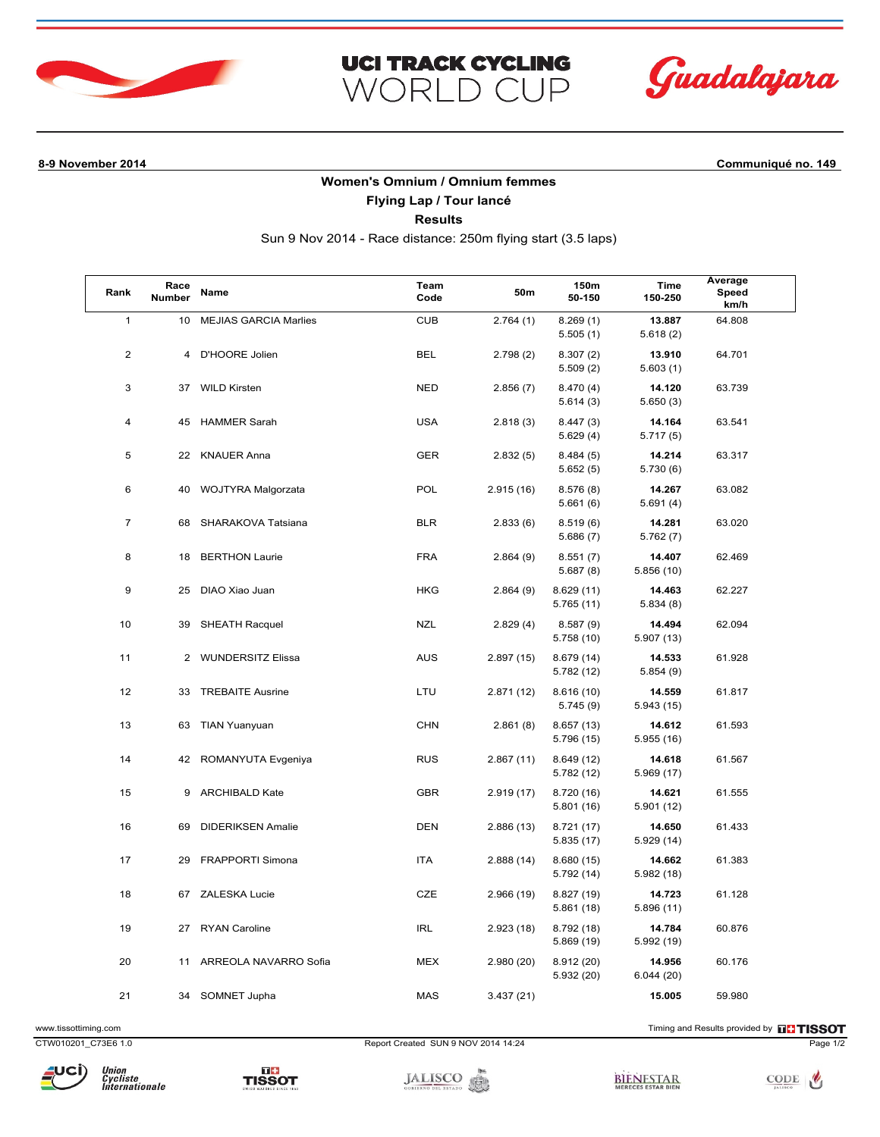



**8-9 November 2014 Communiqué no. 149**

## **Women's Omnium / Omnium femmes**

**UCI TRACK CYCLING** 

WORLD CUP

**Flying Lap / Tour lancé**

**Results**

Sun 9 Nov 2014 - Race distance: 250m flying start (3.5 laps)

| Rank           | Race<br>Number | Name                         | Team<br>Code | <b>50m</b> | 150m<br>50-150          | Time<br>150-250      | Average<br>Speed<br>km/h |
|----------------|----------------|------------------------------|--------------|------------|-------------------------|----------------------|--------------------------|
| $\mathbf{1}$   | 10             | <b>MEJIAS GARCIA Marlies</b> | <b>CUB</b>   | 2.764(1)   | 8.269(1)<br>5.505(1)    | 13.887<br>5.618(2)   | 64.808                   |
| $\overline{2}$ | 4              | D'HOORE Jolien               | <b>BEL</b>   | 2.798(2)   | 8.307(2)<br>5.509(2)    | 13.910<br>5.603(1)   | 64.701                   |
| 3              | 37             | <b>WILD Kirsten</b>          | <b>NED</b>   | 2.856(7)   | 8.470 (4)<br>5.614(3)   | 14.120<br>5.650(3)   | 63.739                   |
| 4              | 45             | <b>HAMMER Sarah</b>          | <b>USA</b>   | 2.818(3)   | 8.447(3)<br>5.629(4)    | 14.164<br>5.717(5)   | 63.541                   |
| 5              | 22             | <b>KNAUER Anna</b>           | <b>GER</b>   | 2.832(5)   | 8.484(5)<br>5.652(5)    | 14.214<br>5.730(6)   | 63.317                   |
| 6              | 40             | WOJTYRA Malgorzata           | POL          | 2.915(16)  | 8.576(8)<br>5.661(6)    | 14.267<br>5.691(4)   | 63.082                   |
| $\overline{7}$ | 68             | SHARAKOVA Tatsiana           | <b>BLR</b>   | 2.833(6)   | 8.519(6)<br>5.686(7)    | 14.281<br>5.762(7)   | 63.020                   |
| 8              | 18             | <b>BERTHON Laurie</b>        | <b>FRA</b>   | 2.864(9)   | 8.551(7)<br>5.687(8)    | 14.407<br>5.856 (10) | 62.469                   |
| 9              | 25             | DIAO Xiao Juan               | <b>HKG</b>   | 2.864(9)   | 8.629(11)<br>5.765 (11) | 14.463<br>5.834(8)   | 62.227                   |
| 10             | 39             | <b>SHEATH Racquel</b>        | <b>NZL</b>   | 2.829(4)   | 8.587(9)<br>5.758 (10)  | 14.494<br>5.907 (13) | 62.094                   |
| 11             | $\overline{2}$ | <b>WUNDERSITZ Elissa</b>     | <b>AUS</b>   | 2.897(15)  | 8.679(14)<br>5.782 (12) | 14.533<br>5.854(9)   | 61.928                   |
| 12             | 33             | <b>TREBAITE Ausrine</b>      | LTU          | 2.871(12)  | 8.616(10)<br>5.745(9)   | 14.559<br>5.943 (15) | 61.817                   |
| 13             | 63             | <b>TIAN Yuanyuan</b>         | <b>CHN</b>   | 2.861(8)   | 8.657(13)<br>5.796 (15) | 14.612<br>5.955 (16) | 61.593                   |
| 14             | 42             | ROMANYUTA Evgeniya           | <b>RUS</b>   | 2.867(11)  | 8.649(12)<br>5.782(12)  | 14.618<br>5.969 (17) | 61.567                   |
| 15             | 9              | <b>ARCHIBALD Kate</b>        | <b>GBR</b>   | 2.919(17)  | 8.720 (16)<br>5.801(16) | 14.621<br>5.901(12)  | 61.555                   |
| 16             | 69             | <b>DIDERIKSEN Amalie</b>     | <b>DEN</b>   | 2.886(13)  | 8.721 (17)<br>5.835(17) | 14.650<br>5.929 (14) | 61.433                   |
| 17             | 29             | <b>FRAPPORTI Simona</b>      | <b>ITA</b>   | 2.888(14)  | 8.680(15)<br>5.792(14)  | 14.662<br>5.982 (18) | 61.383                   |
| 18             | 67             | ZALESKA Lucie                | CZE          | 2.966(19)  | 8.827 (19)<br>5.861(18) | 14.723<br>5.896 (11) | 61.128                   |
| 19             | 27             | <b>RYAN Caroline</b>         | <b>IRL</b>   | 2.923(18)  | 8.792 (18)<br>5.869(19) | 14.784<br>5.992 (19) | 60.876                   |
| 20             | 11             | ARREOLA NAVARRO Sofia        | <b>MEX</b>   | 2.980(20)  | 8.912(20)<br>5.932(20)  | 14.956<br>6.044(20)  | 60.176                   |
| 21             | 34             | SOMNET Jupha                 | <b>MAS</b>   | 3.437(21)  |                         | 15.005               | 59.980                   |

www.tissottiming.com **EXECUTES CONTEXT CONTEXT** Timing and Results provided by **EXECUTES CONTEXT AND RESULTS SO TIMING** 

CTW010201\_C73E6 1.0 Report Created SUN 9 NOV 2014 14:24 Page 1/2



TISSOT

**JALISCO**